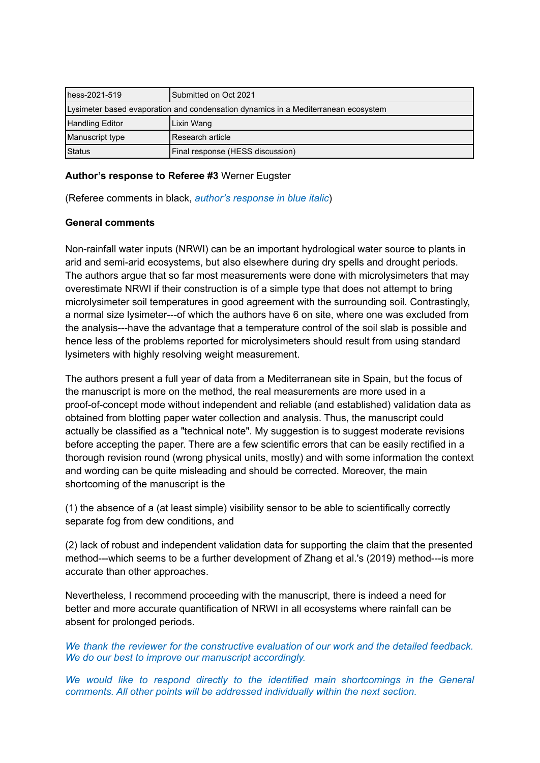| hess-2021-519                                                                      | Submitted on Oct 2021            |
|------------------------------------------------------------------------------------|----------------------------------|
| Lysimeter based evaporation and condensation dynamics in a Mediterranean ecosystem |                                  |
| Handling Editor                                                                    | Lixin Wang                       |
| Manuscript type                                                                    | IResearch article                |
| Status                                                                             | Final response (HESS discussion) |

# **Author's response to Referee #3** Werner Eugster

(Referee comments in black, *author's response in blue italic*)

## **General comments**

Non-rainfall water inputs (NRWI) can be an important hydrological water source to plants in arid and semi-arid ecosystems, but also elsewhere during dry spells and drought periods. The authors argue that so far most measurements were done with microlysimeters that may overestimate NRWI if their construction is of a simple type that does not attempt to bring microlysimeter soil temperatures in good agreement with the surrounding soil. Contrastingly, a normal size lysimeter---of which the authors have 6 on site, where one was excluded from the analysis---have the advantage that a temperature control of the soil slab is possible and hence less of the problems reported for microlysimeters should result from using standard lysimeters with highly resolving weight measurement.

The authors present a full year of data from a Mediterranean site in Spain, but the focus of the manuscript is more on the method, the real measurements are more used in a proof-of-concept mode without independent and reliable (and established) validation data as obtained from blotting paper water collection and analysis. Thus, the manuscript could actually be classified as a "technical note". My suggestion is to suggest moderate revisions before accepting the paper. There are a few scientific errors that can be easily rectified in a thorough revision round (wrong physical units, mostly) and with some information the context and wording can be quite misleading and should be corrected. Moreover, the main shortcoming of the manuscript is the

(1) the absence of a (at least simple) visibility sensor to be able to scientifically correctly separate fog from dew conditions, and

(2) lack of robust and independent validation data for supporting the claim that the presented method---which seems to be a further development of Zhang et al.'s (2019) method---is more accurate than other approaches.

Nevertheless, I recommend proceeding with the manuscript, there is indeed a need for better and more accurate quantification of NRWI in all ecosystems where rainfall can be absent for prolonged periods.

*We thank the reviewer for the constructive evaluation of our work and the detailed feedback. We do our best to improve our manuscript accordingly.*

*We would like to respond directly to the identified main shortcomings in the General comments. All other points will be addressed individually within the next section.*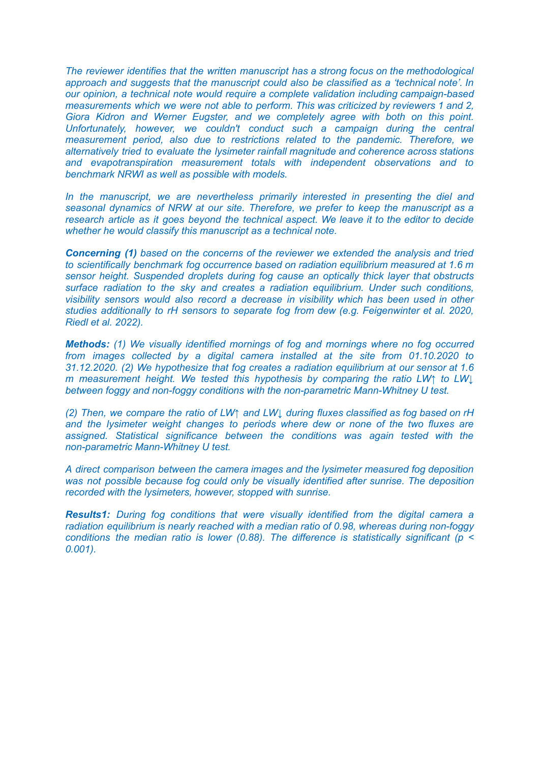*The reviewer identifies that the written manuscript has a strong focus on the methodological approach and suggests that the manuscript could also be classified as a 'technical note'. In our opinion, a technical note would require a complete validation including campaign-based measurements which we were not able to perform. This was criticized by reviewers 1 and 2, Giora Kidron and Werner Eugster, and we completely agree with both on this point. Unfortunately, however, we couldn't conduct such a campaign during the central measurement period, also due to restrictions related to the pandemic. Therefore, we alternatively tried to evaluate the lysimeter rainfall magnitude and coherence across stations and evapotranspiration measurement totals with independent observations and to benchmark NRWI as well as possible with models.*

*In the manuscript, we are nevertheless primarily interested in presenting the diel and seasonal dynamics of NRW at our site. Therefore, we prefer to keep the manuscript as a research article as it goes beyond the technical aspect. We leave it to the editor to decide whether he would classify this manuscript as a technical note.*

*Concerning (1) based on the concerns of the reviewer we extended the analysis and tried to scientifically benchmark fog occurrence based on radiation equilibrium measured at 1.6 m sensor height. Suspended droplets during fog cause an optically thick layer that obstructs surface radiation to the sky and creates a radiation equilibrium. Under such conditions, visibility sensors would also record a decrease in visibility which has been used in other studies additionally to rH sensors to separate fog from dew (e.g. Feigenwinter et al. 2020, Riedl et al. 2022).*

*Methods: (1) We visually identified mornings of fog and mornings where no fog occurred from images collected by a digital camera installed at the site from 01.10.2020 to 31.12.2020. (2) We hypothesize that fog creates a radiation equilibrium at our sensor at 1.6 m measurement height. We tested this hypothesis by comparing the ratio LW↑ to LW↓ between foggy and non-foggy conditions with the non-parametric Mann-Whitney U test.*

*(2) Then, we compare the ratio of LW↑ and LW↓ during fluxes classified as fog based on rH and the lysimeter weight changes to periods where dew or none of the two fluxes are assigned. Statistical significance between the conditions was again tested with the non-parametric Mann-Whitney U test.*

*A direct comparison between the camera images and the lysimeter measured fog deposition was not possible because fog could only be visually identified after sunrise. The deposition recorded with the lysimeters, however, stopped with sunrise.*

*Results1: During fog conditions that were visually identified from the digital camera a radiation equilibrium is nearly reached with a median ratio of 0.98, whereas during non-foggy conditions the median ratio is lower (0.88). The difference is statistically significant (p < 0.001).*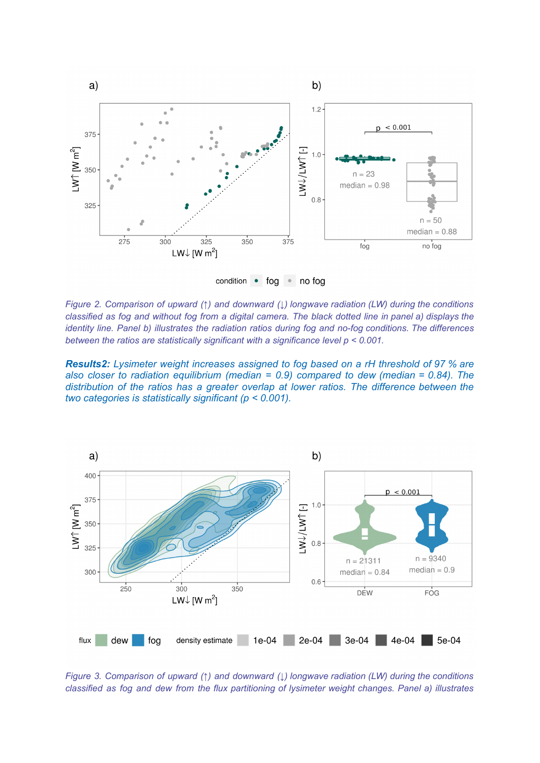

*Figure 2. Comparison of upward (↑) and downward (↓) longwave radiation (LW) during the conditions* classified as fog and without fog from a digital camera. The black dotted line in panel a) displays the *identity line. Panel b) illustrates the radiation ratios during fog and no-fog conditions. The differences between the ratios are statistically significant with a significance level p < 0.001.*

*Results2: Lysimeter weight increases assigned to fog based on a rH threshold of 97 % are also closer to radiation equilibrium (median = 0.9) compared to dew (median = 0.84). The distribution of the ratios has a greater overlap at lower ratios. The difference between the two categories is statistically significant (p < 0.001).*



*Figure 3. Comparison of upward (↑) and downward (↓) longwave radiation (LW) during the conditions classified as fog and dew from the flux partitioning of lysimeter weight changes. Panel a) illustrates*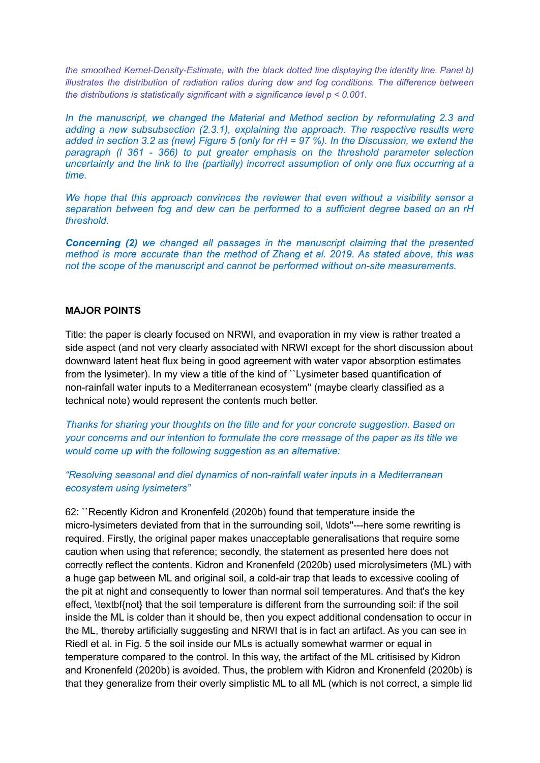*the smoothed Kernel-Density-Estimate, with the black dotted line displaying the identity line. Panel b) illustrates the distribution of radiation ratios during dew and fog conditions. The difference between the distributions is statistically significant with a significance level p < 0.001.*

*In the manuscript, we changed the Material and Method section by reformulating 2.3 and adding a new subsubsection (2.3.1), explaining the approach. The respective results were* added in section 3.2 as (new) Figure 5 (only for  $rH = 97$ %). In the Discussion, we extend the *paragraph (l 361 - 366) to put greater emphasis on the threshold parameter selection uncertainty and the link to the (partially) incorrect assumption of only one flux occurring at a time.*

*We hope that this approach convinces the reviewer that even without a visibility sensor a separation between fog and dew can be performed to a sufficient degree based on an rH threshold.*

*Concerning (2) we changed all passages in the manuscript claiming that the presented method is more accurate than the method of Zhang et al. 2019. As stated above, this was not the scope of the manuscript and cannot be performed without on-site measurements.*

#### **MAJOR POINTS**

Title: the paper is clearly focused on NRWI, and evaporation in my view is rather treated a side aspect (and not very clearly associated with NRWI except for the short discussion about downward latent heat flux being in good agreement with water vapor absorption estimates from the lysimeter). In my view a title of the kind of ``Lysimeter based quantification of non-rainfall water inputs to a Mediterranean ecosystem'' (maybe clearly classified as a technical note) would represent the contents much better.

*Thanks for sharing your thoughts on the title and for your concrete suggestion. Based on your concerns and our intention to formulate the core message of the paper as its title we would come up with the following suggestion as an alternative:*

*"Resolving seasonal and diel dynamics of non-rainfall water inputs in a Mediterranean ecosystem using lysimeters"*

62: ``Recently Kidron and Kronenfeld (2020b) found that temperature inside the micro-lysimeters deviated from that in the surrounding soil, \ldots''---here some rewriting is required. Firstly, the original paper makes unacceptable generalisations that require some caution when using that reference; secondly, the statement as presented here does not correctly reflect the contents. Kidron and Kronenfeld (2020b) used microlysimeters (ML) with a huge gap between ML and original soil, a cold-air trap that leads to excessive cooling of the pit at night and consequently to lower than normal soil temperatures. And that's the key effect, \textbf{not} that the soil temperature is different from the surrounding soil: if the soil inside the ML is colder than it should be, then you expect additional condensation to occur in the ML, thereby artificially suggesting and NRWI that is in fact an artifact. As you can see in Riedl et al. in Fig. 5 the soil inside our MLs is actually somewhat warmer or equal in temperature compared to the control. In this way, the artifact of the ML critisised by Kidron and Kronenfeld (2020b) is avoided. Thus, the problem with Kidron and Kronenfeld (2020b) is that they generalize from their overly simplistic ML to all ML (which is not correct, a simple lid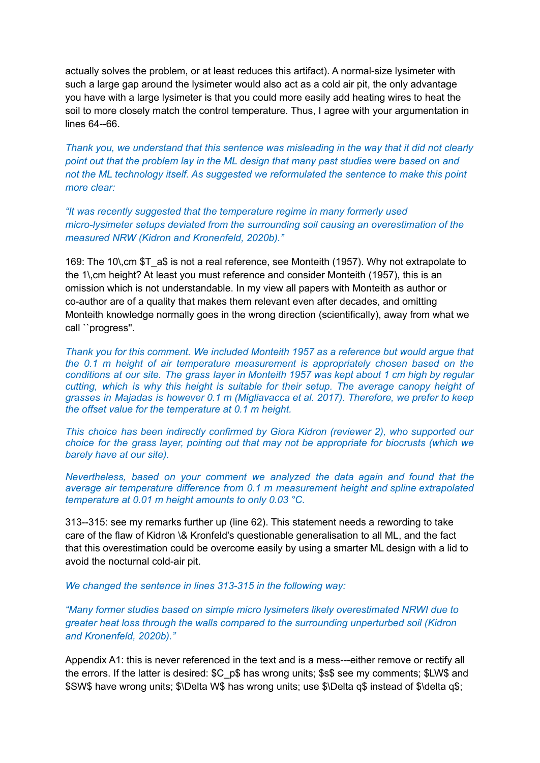actually solves the problem, or at least reduces this artifact). A normal-size lysimeter with such a large gap around the lysimeter would also act as a cold air pit, the only advantage you have with a large lysimeter is that you could more easily add heating wires to heat the soil to more closely match the control temperature. Thus, I agree with your argumentation in lines 64--66.

*Thank you, we understand that this sentence was misleading in the way that it did not clearly point out that the problem lay in the ML design that many past studies were based on and not the ML technology itself. As suggested we reformulated the sentence to make this point more clear:*

*"It was recently suggested that the temperature regime in many formerly used micro-lysimeter setups deviated from the surrounding soil causing an overestimation of the measured NRW (Kidron and Kronenfeld, 2020b)."*

169: The 10\,cm \$T\_a\$ is not a real reference, see Monteith (1957). Why not extrapolate to the 1\,cm height? At least you must reference and consider Monteith (1957), this is an omission which is not understandable. In my view all papers with Monteith as author or co-author are of a quality that makes them relevant even after decades, and omitting Monteith knowledge normally goes in the wrong direction (scientifically), away from what we call ``progress''.

*Thank you for this comment. We included Monteith 1957 as a reference but would argue that the 0.1 m height of air temperature measurement is appropriately chosen based on the conditions at our site. The grass layer in Monteith 1957 was kept about 1 cm high by regular cutting, which is why this height is suitable for their setup. The average canopy height of grasses in Majadas is however 0.1 m (Migliavacca et al. 2017). Therefore, we prefer to keep the offset value for the temperature at 0.1 m height.*

*This choice has been indirectly confirmed by Giora Kidron (reviewer 2), who supported our choice for the grass layer, pointing out that may not be appropriate for biocrusts (which we barely have at our site).*

*Nevertheless, based on your comment we analyzed the data again and found that the average air temperature difference from 0.1 m measurement height and spline extrapolated temperature at 0.01 m height amounts to only 0.03 °C.*

313--315: see my remarks further up (line 62). This statement needs a rewording to take care of the flaw of Kidron \& Kronfeld's questionable generalisation to all ML, and the fact that this overestimation could be overcome easily by using a smarter ML design with a lid to avoid the nocturnal cold-air pit.

*We changed the sentence in lines 313-315 in the following way:*

*"Many former studies based on simple micro lysimeters likely overestimated NRWI due to greater heat loss through the walls compared to the surrounding unperturbed soil (Kidron and Kronenfeld, 2020b)."*

Appendix A1: this is never referenced in the text and is a mess---either remove or rectify all the errors. If the latter is desired: \$C p\$ has wrong units; \$s\$ see my comments; \$LW\$ and \$SW\$ have wrong units; \$\Delta W\$ has wrong units; use \$\Delta q\$ instead of \$\delta q\$;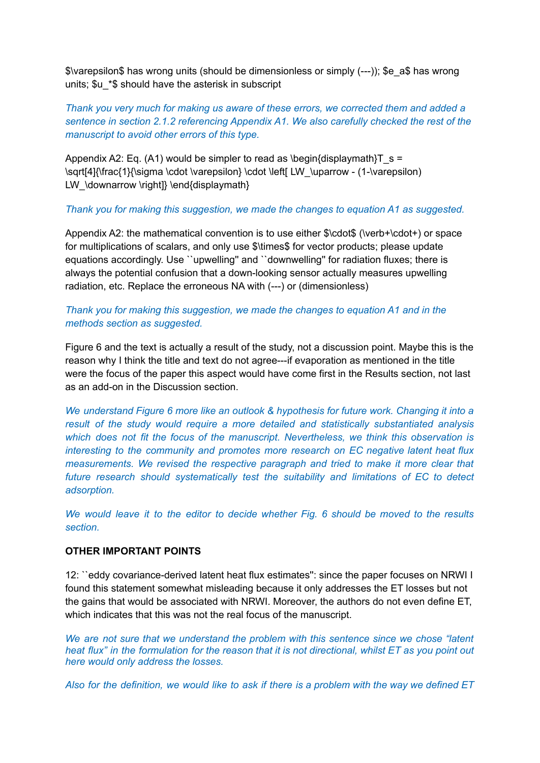\$\varepsilon\$ has wrong units (should be dimensionless or simply (---)); \$e\_a\$ has wrong units; \$u\_\*\$ should have the asterisk in subscript

*Thank you very much for making us aware of these errors, we corrected them and added a sentence in section 2.1.2 referencing Appendix A1. We also carefully checked the rest of the manuscript to avoid other errors of this type.*

Appendix A2: Eq. (A1) would be simpler to read as \begin{displaymath}T  $s =$ \sqrt[4]{\frac{1}{\sigma \cdot \varepsilon} \cdot \left[ LW\_\uparrow - (1-\varepsilon) LW \downarrow \right]} \end{displaymath}

#### *Thank you for making this suggestion, we made the changes to equation A1 as suggested.*

Appendix A2: the mathematical convention is to use either \$\cdot\$ (\verb+\cdot+) or space for multiplications of scalars, and only use \$\times\$ for vector products; please update equations accordingly. Use ``upwelling'' and ``downwelling'' for radiation fluxes; there is always the potential confusion that a down-looking sensor actually measures upwelling radiation, etc. Replace the erroneous NA with (---) or (dimensionless)

# *Thank you for making this suggestion, we made the changes to equation A1 and in the methods section as suggested.*

Figure 6 and the text is actually a result of the study, not a discussion point. Maybe this is the reason why I think the title and text do not agree---if evaporation as mentioned in the title were the focus of the paper this aspect would have come first in the Results section, not last as an add-on in the Discussion section.

*We understand Figure 6 more like an outlook & hypothesis for future work. Changing it into a result of the study would require a more detailed and statistically substantiated analysis which does not fit the focus of the manuscript. Nevertheless, we think this observation is interesting to the community and promotes more research on EC negative latent heat flux measurements. We revised the respective paragraph and tried to make it more clear that future research should systematically test the suitability and limitations of EC to detect adsorption.*

*We would leave it to the editor to decide whether Fig. 6 should be moved to the results section.*

# **OTHER IMPORTANT POINTS**

12: ``eddy covariance-derived latent heat flux estimates'': since the paper focuses on NRWI I found this statement somewhat misleading because it only addresses the ET losses but not the gains that would be associated with NRWI. Moreover, the authors do not even define ET, which indicates that this was not the real focus of the manuscript.

*We are not sure that we understand the problem with this sentence since we chose "latent* heat flux" in the formulation for the reason that it is not directional, whilst ET as you point out *here would only address the losses.*

Also for the definition, we would like to ask if there is a problem with the way we defined ET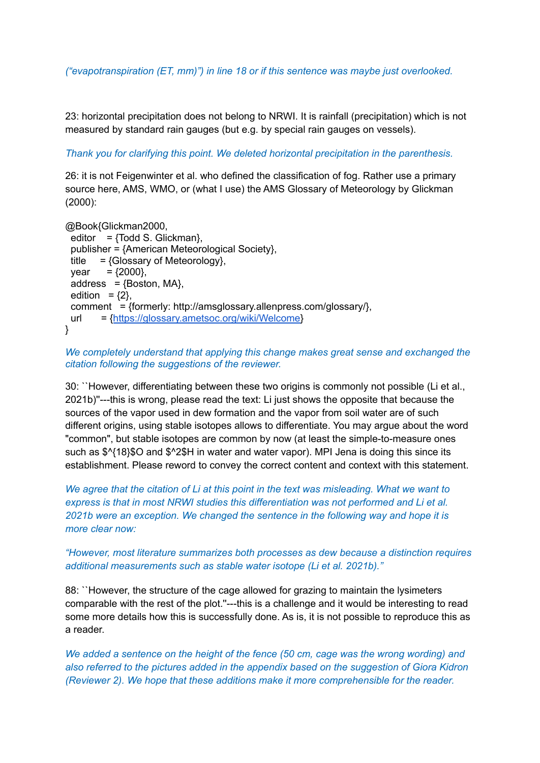*("evapotranspiration (ET, mm)") in line 18 or if this sentence was maybe just overlooked.*

23: horizontal precipitation does not belong to NRWI. It is rainfall (precipitation) which is not measured by standard rain gauges (but e.g. by special rain gauges on vessels).

*Thank you for clarifying this point. We deleted horizontal precipitation in the parenthesis.*

26: it is not Feigenwinter et al. who defined the classification of fog. Rather use a primary source here, AMS, WMO, or (what I use) the AMS Glossary of Meteorology by Glickman (2000):

@Book{Glickman2000, editor =  $\{Todd S. Glickman\}$ , publisher = {American Meteorological Society}, title  $=$  {Glossary of Meteorology},  $year = {2000}$ ,  $address = {Boston, MA},$ edition =  ${2}$ , comment = {formerly: http://amsglossary.allenpress.com/glossary/}, url = {[https://glossary.ametsoc.org/wiki/Welcome}](https://glossary.ametsoc.org/wiki/Welcome) }

# *We completely understand that applying this change makes great sense and exchanged the citation following the suggestions of the reviewer.*

30: ``However, differentiating between these two origins is commonly not possible (Li et al., 2021b)''---this is wrong, please read the text: Li just shows the opposite that because the sources of the vapor used in dew formation and the vapor from soil water are of such different origins, using stable isotopes allows to differentiate. You may argue about the word "common", but stable isotopes are common by now (at least the simple-to-measure ones such as \$^{18}\$O and \$^2\$H in water and water vapor). MPI Jena is doing this since its establishment. Please reword to convey the correct content and context with this statement.

*We agree that the citation of Li at this point in the text was misleading. What we want to express is that in most NRWI studies this differentiation was not performed and Li et al. 2021b were an exception. We changed the sentence in the following way and hope it is more clear now:*

# *"However, most literature summarizes both processes as dew because a distinction requires additional measurements such as stable water isotope (Li et al. 2021b)."*

88: ``However, the structure of the cage allowed for grazing to maintain the lysimeters comparable with the rest of the plot.''---this is a challenge and it would be interesting to read some more details how this is successfully done. As is, it is not possible to reproduce this as a reader.

*We added a sentence on the height of the fence (50 cm, cage was the wrong wording) and also referred to the pictures added in the appendix based on the suggestion of Giora Kidron (Reviewer 2). We hope that these additions make it more comprehensible for the reader.*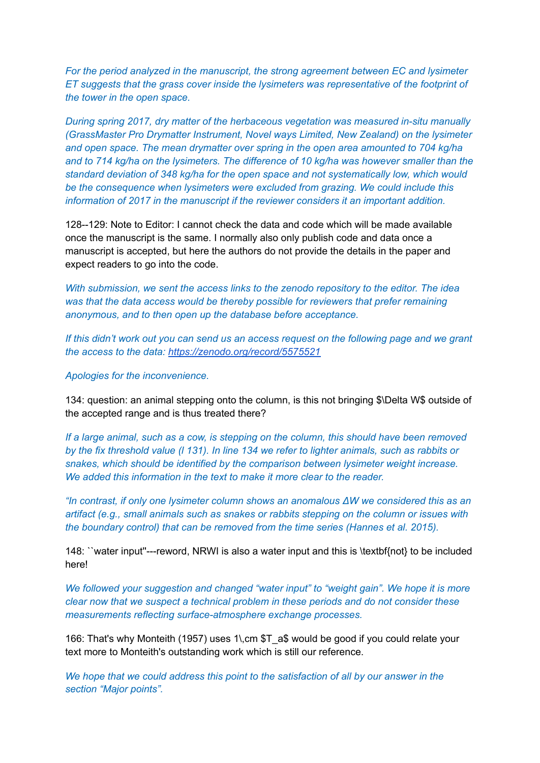*For the period analyzed in the manuscript, the strong agreement between EC and lysimeter ET suggests that the grass cover inside the lysimeters was representative of the footprint of the tower in the open space.*

*During spring 2017, dry matter of the herbaceous vegetation was measured in-situ manually (GrassMaster Pro Drymatter Instrument, Novel ways Limited, New Zealand) on the lysimeter and open space. The mean drymatter over spring in the open area amounted to 704 kg/ha and to 714 kg/ha on the lysimeters. The difference of 10 kg/ha was however smaller than the standard deviation of 348 kg/ha for the open space and not systematically low, which would be the consequence when lysimeters were excluded from grazing. We could include this information of 2017 in the manuscript if the reviewer considers it an important addition.*

128--129: Note to Editor: I cannot check the data and code which will be made available once the manuscript is the same. I normally also only publish code and data once a manuscript is accepted, but here the authors do not provide the details in the paper and expect readers to go into the code.

*With submission, we sent the access links to the zenodo repository to the editor. The idea was that the data access would be thereby possible for reviewers that prefer remaining anonymous, and to then open up the database before acceptance.*

If this didn't work out you can send us an access request on the following page and we grant *the access to the data: <https://zenodo.org/record/5575521>*

*Apologies for the inconvenience.*

134: question: an animal stepping onto the column, is this not bringing \$\Delta W\$ outside of the accepted range and is thus treated there?

*If a large animal, such as a cow, is stepping on the column, this should have been removed* by the fix threshold value (I 131). In line 134 we refer to lighter animals, such as rabbits or *snakes, which should be identified by the comparison between lysimeter weight increase. We added this information in the text to make it more clear to the reader.*

*"In contrast, if only one lysimeter column shows an anomalous ΔW we considered this as an artifact (e.g., small animals such as snakes or rabbits stepping on the column or issues with the boundary control) that can be removed from the time series (Hannes et al. 2015).*

148: ``water input''---reword, NRWI is also a water input and this is \textbf{not} to be included here!

*We followed your suggestion and changed "water input" to "weight gain". We hope it is more clear now that we suspect a technical problem in these periods and do not consider these measurements reflecting surface-atmosphere exchange processes.*

166: That's why Monteith (1957) uses 1\,cm \$T\_a\$ would be good if you could relate your text more to Monteith's outstanding work which is still our reference.

*We hope that we could address this point to the satisfaction of all by our answer in the section "Major points".*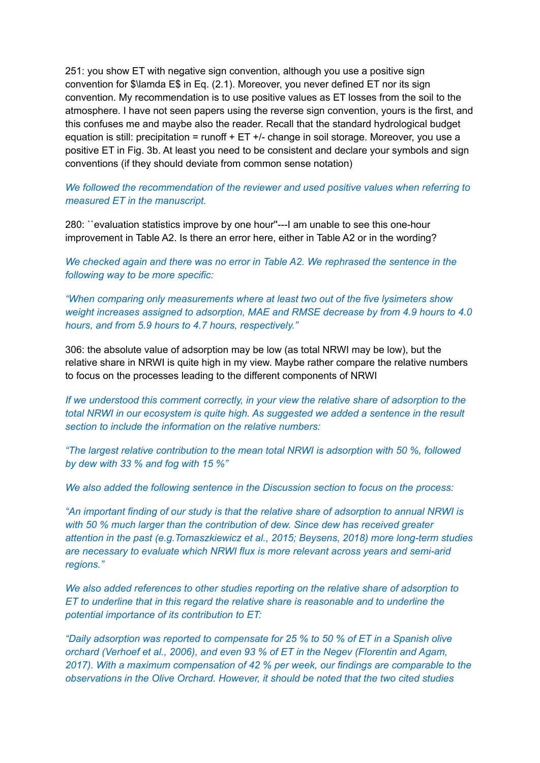251: you show ET with negative sign convention, although you use a positive sign convention for \$\lamda E\$ in Eq. (2.1). Moreover, you never defined ET nor its sign convention. My recommendation is to use positive values as ET losses from the soil to the atmosphere. I have not seen papers using the reverse sign convention, yours is the first, and this confuses me and maybe also the reader. Recall that the standard hydrological budget equation is still: precipitation = runoff + ET +/- change in soil storage. Moreover, you use a positive ET in Fig. 3b. At least you need to be consistent and declare your symbols and sign conventions (if they should deviate from common sense notation)

*We followed the recommendation of the reviewer and used positive values when referring to measured ET in the manuscript.*

280: ``evaluation statistics improve by one hour''---I am unable to see this one-hour improvement in Table A2. Is there an error here, either in Table A2 or in the wording?

*We checked again and there was no error in Table A2. We rephrased the sentence in the following way to be more specific:*

*"When comparing only measurements where at least two out of the five lysimeters show weight increases assigned to adsorption, MAE and RMSE decrease by from 4.9 hours to 4.0 hours, and from 5.9 hours to 4.7 hours, respectively."*

306: the absolute value of adsorption may be low (as total NRWI may be low), but the relative share in NRWI is quite high in my view. Maybe rather compare the relative numbers to focus on the processes leading to the different components of NRWI

*If we understood this comment correctly, in your view the relative share of adsorption to the total NRWI in our ecosystem is quite high. As suggested we added a sentence in the result section to include the information on the relative numbers:*

*"The largest relative contribution to the mean total NRWI is adsorption with 50 %, followed by dew with 33 % and fog with 15 %"*

*We also added the following sentence in the Discussion section to focus on the process:*

*"An important finding of our study is that the relative share of adsorption to annual NRWI is with 50 % much larger than the contribution of dew. Since dew has received greater attention in the past (e.g.Tomaszkiewicz et al., 2015; Beysens, 2018) more long-term studies are necessary to evaluate which NRWI flux is more relevant across years and semi-arid regions."*

*We also added references to other studies reporting on the relative share of adsorption to ET to underline that in this regard the relative share is reasonable and to underline the potential importance of its contribution to ET:*

*"Daily adsorption was reported to compensate for 25 % to 50 % of ET in a Spanish olive orchard (Verhoef et al., 2006), and even 93 % of ET in the Negev (Florentin and Agam, 2017). With a maximum compensation of 42 % per week, our findings are comparable to the observations in the Olive Orchard. However, it should be noted that the two cited studies*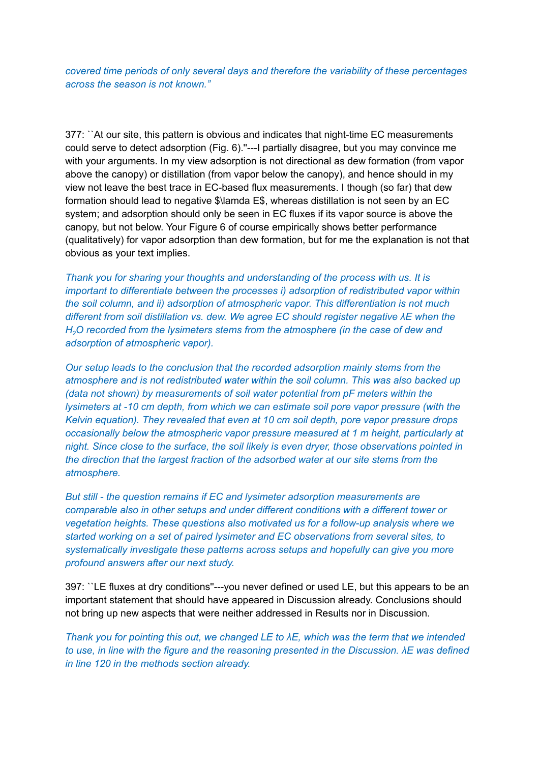*covered time periods of only several days and therefore the variability of these percentages across the season is not known."*

377: ``At our site, this pattern is obvious and indicates that night-time EC measurements could serve to detect adsorption (Fig. 6).''---I partially disagree, but you may convince me with your arguments. In my view adsorption is not directional as dew formation (from vapor above the canopy) or distillation (from vapor below the canopy), and hence should in my view not leave the best trace in EC-based flux measurements. I though (so far) that dew formation should lead to negative \$\lamda E\$, whereas distillation is not seen by an EC system; and adsorption should only be seen in EC fluxes if its vapor source is above the canopy, but not below. Your Figure 6 of course empirically shows better performance (qualitatively) for vapor adsorption than dew formation, but for me the explanation is not that obvious as your text implies.

*Thank you for sharing your thoughts and understanding of the process with us. It is important to differentiate between the processes i) adsorption of redistributed vapor within the soil column, and ii) adsorption of atmospheric vapor. This differentiation is not much different from soil distillation vs. dew. We agree EC should register negative λE when the H2O recorded from the lysimeters stems from the atmosphere (in the case of dew and adsorption of atmospheric vapor).*

*Our setup leads to the conclusion that the recorded adsorption mainly stems from the atmosphere and is not redistributed water within the soil column. This was also backed up (data not shown) by measurements of soil water potential from pF meters within the lysimeters at -10 cm depth, from which we can estimate soil pore vapor pressure (with the Kelvin equation). They revealed that even at 10 cm soil depth, pore vapor pressure drops occasionally below the atmospheric vapor pressure measured at 1 m height, particularly at night. Since close to the surface, the soil likely is even dryer, those observations pointed in the direction that the largest fraction of the adsorbed water at our site stems from the atmosphere.*

*But still - the question remains if EC and lysimeter adsorption measurements are comparable also in other setups and under different conditions with a different tower or vegetation heights. These questions also motivated us for a follow-up analysis where we started working on a set of paired lysimeter and EC observations from several sites, to systematically investigate these patterns across setups and hopefully can give you more profound answers after our next study.*

397: ``LE fluxes at dry conditions''---you never defined or used LE, but this appears to be an important statement that should have appeared in Discussion already. Conclusions should not bring up new aspects that were neither addressed in Results nor in Discussion.

*Thank you for pointing this out, we changed LE to λE, which was the term that we intended to use, in line with the figure and the reasoning presented in the Discussion. λE was defined in line 120 in the methods section already.*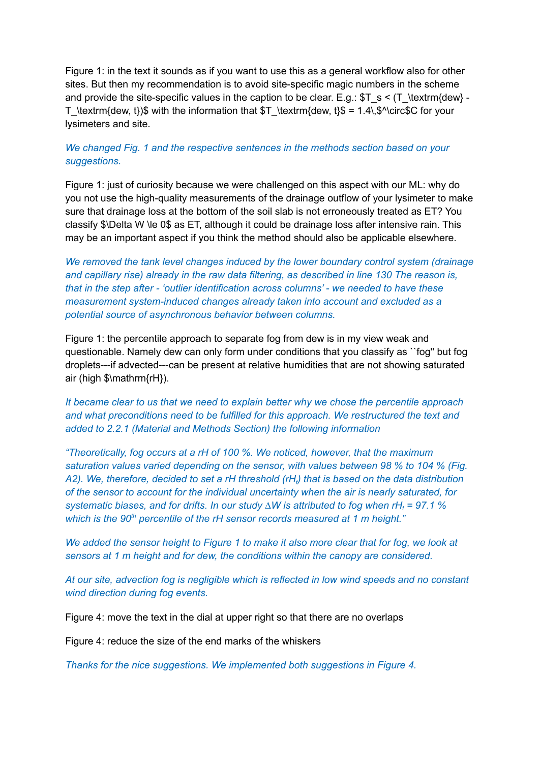Figure 1: in the text it sounds as if you want to use this as a general workflow also for other sites. But then my recommendation is to avoid site-specific magic numbers in the scheme and provide the site-specific values in the caption to be clear. E.g.:  $T_s < (T \text{dew} -$ T\_\textrm{dew, t})\$ with the information that  $T\ \text{dew}, t$ }\$ = 1.4\,\$^\circ\$C for your lysimeters and site.

# *We changed Fig. 1 and the respective sentences in the methods section based on your suggestions.*

Figure 1: just of curiosity because we were challenged on this aspect with our ML: why do you not use the high-quality measurements of the drainage outflow of your lysimeter to make sure that drainage loss at the bottom of the soil slab is not erroneously treated as ET? You classify \$\Delta W \le 0\$ as ET, although it could be drainage loss after intensive rain. This may be an important aspect if you think the method should also be applicable elsewhere.

*We removed the tank level changes induced by the lower boundary control system (drainage and capillary rise) already in the raw data filtering, as described in line 130 The reason is, that in the step after - 'outlier identification across columns' - we needed to have these measurement system-induced changes already taken into account and excluded as a potential source of asynchronous behavior between columns.*

Figure 1: the percentile approach to separate fog from dew is in my view weak and questionable. Namely dew can only form under conditions that you classify as ``fog'' but fog droplets---if advected---can be present at relative humidities that are not showing saturated air (high \$\mathrm{rH}).

*It became clear to us that we need to explain better why we chose the percentile approach and what preconditions need to be fulfilled for this approach. We restructured the text and added to 2.2.1 (Material and Methods Section) the following information*

*"Theoretically, fog occurs at a rH of 100 %. We noticed, however, that the maximum saturation values varied depending on the sensor, with values between 98 % to 104 % (Fig.* A2). We, therefore, decided to set a rH threshold (rH<sub>i</sub>) that is based on the data distribution *of the sensor to account for the individual uncertainty when the air is nearly saturated, for systematic biases, and for drifts. In our study ∆W is attributed to fog when rH<sup>t</sup> = 97.1 % which is the 90 th percentile of the rH sensor records measured at 1 m height."*

We added the sensor height to Figure 1 to make it also more clear that for fog, we look at *sensors at 1 m height and for dew, the conditions within the canopy are considered.*

*At our site, advection fog is negligible which is reflected in low wind speeds and no constant wind direction during fog events.*

Figure 4: move the text in the dial at upper right so that there are no overlaps

Figure 4: reduce the size of the end marks of the whiskers

*Thanks for the nice suggestions. We implemented both suggestions in Figure 4.*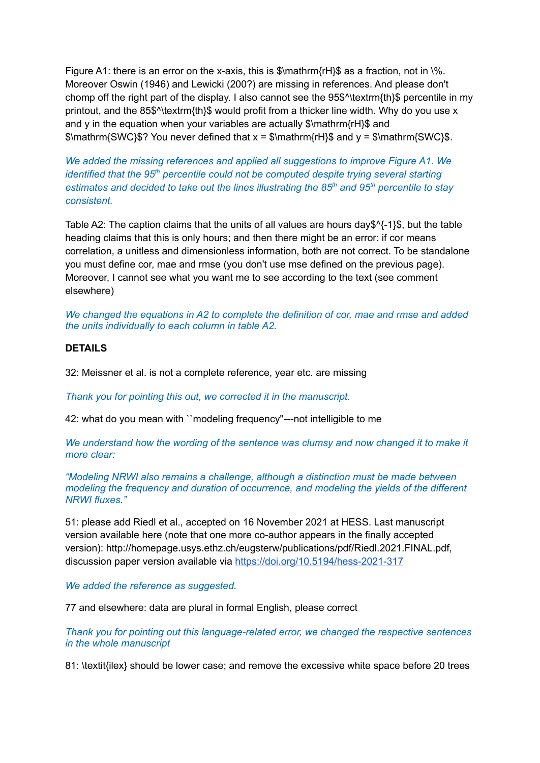Figure A1: there is an error on the x-axis, this is  $\mathcal{S}$  mathrm{rH $\mathcal{S}$  as a fraction, not in  $\mathcal{S}$ . Moreover Oswin (1946) and Lewicki (200?) are missing in references. And please don't chomp off the right part of the display. I also cannot see the 95\$^\textrm{th}\$ percentile in my printout, and the 85\$^\textrm{th}\$ would profit from a thicker line width. Why do you use x and y in the equation when your variables are actually \$\mathrm{rH}\$ and  $\mathcal{S}\mathsf{M}$  S\mathrm{SWC}\$? You never defined that  $x = \mathcal{S}\mathsf{M}$  at  $\mathsf{M}$  and  $y = \mathcal{S}\mathsf{M}$  and  $\mathsf{M}$  sum athrm{SWC}\$.

*We added the missing references and applied all suggestions to improve Figure A1. We identified that the 95<sup>th</sup> percentile could not be computed despite trying several starting estimates and decided to take out the lines illustrating the 85 th and 95 th percentile to stay consistent.*

Table A2: The caption claims that the units of all values are hours day\$^{-1}\$, but the table heading claims that this is only hours; and then there might be an error: if cor means correlation, a unitless and dimensionless information, both are not correct. To be standalone you must define cor, mae and rmse (you don't use mse defined on the previous page). Moreover, I cannot see what you want me to see according to the text (see comment elsewhere)

*We changed the equations in A2 to complete the definition of cor, mae and rmse and added the units individually to each column in table A2.*

## **DETAILS**

32: Meissner et al. is not a complete reference, year etc. are missing

*Thank you for pointing this out, we corrected it in the manuscript.*

42: what do you mean with ``modeling frequency''---not intelligible to me

*We understand how the wording of the sentence was clumsy and now changed it to make it more clear:*

*"Modeling NRWI also remains a challenge, although a distinction must be made between modeling the frequency and duration of occurrence, and modeling the yields of the different NRWI fluxes."*

51: please add Riedl et al., accepted on 16 November 2021 at HESS. Last manuscript version available here (note that one more co-author appears in the finally accepted version): http://homepage.usys.ethz.ch/eugsterw/publications/pdf/Riedl.2021.FINAL.pdf, discussion paper version available via <https://doi.org/10.5194/hess-2021-317>

*We added the reference as suggested.*

77 and elsewhere: data are plural in formal English, please correct

*Thank you for pointing out this language-related error, we changed the respective sentences in the whole manuscript*

81: \textit{ilex} should be lower case; and remove the excessive white space before 20 trees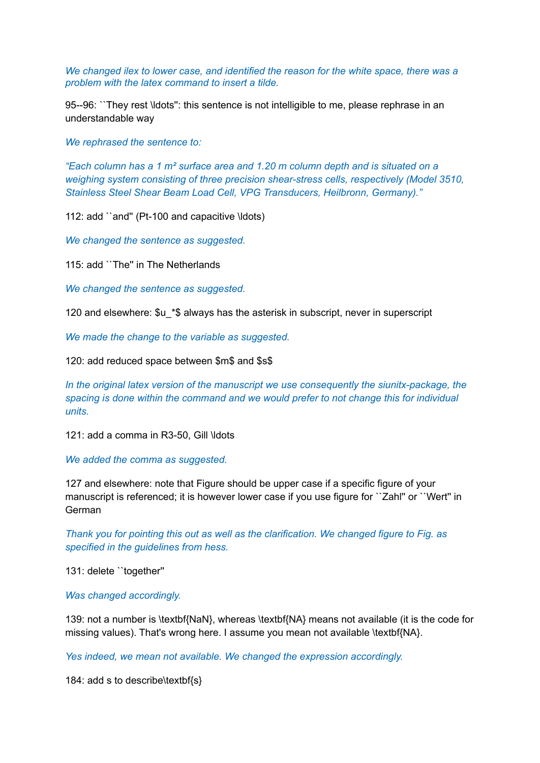*We changed ilex to lower case, and identified the reason for the white space, there was a problem with the latex command to insert a tilde.*

95--96: ``They rest \ldots'': this sentence is not intelligible to me, please rephrase in an understandable way

*We rephrased the sentence to:*

*"Each column has a 1 m² surface area and 1.20 m column depth and is situated on a weighing system consisting of three precision shear-stress cells, respectively (Model 3510, Stainless Steel Shear Beam Load Cell, VPG Transducers, Heilbronn, Germany)."*

112: add ``and'' (Pt-100 and capacitive \ldots)

*We changed the sentence as suggested.*

115: add ``The'' in The Netherlands

*We changed the sentence as suggested.*

120 and elsewhere: \$u\_\*\$ always has the asterisk in subscript, never in superscript

*We made the change to the variable as suggested.*

120: add reduced space between \$m\$ and \$s\$

*In the original latex version of the manuscript we use consequently the siunitx-package, the spacing is done within the command and we would prefer to not change this for individual units.*

121: add a comma in R3-50, Gill \ldots

*We added the comma as suggested.*

127 and elsewhere: note that Figure should be upper case if a specific figure of your manuscript is referenced; it is however lower case if you use figure for "Zahl" or "Wert" in German

*Thank you for pointing this out as well as the clarification. We changed figure to Fig. as specified in the guidelines from hess.*

131: delete ``together''

*Was changed accordingly.*

139: not a number is \textbf{NaN}, whereas \textbf{NA} means not available (it is the code for missing values). That's wrong here. I assume you mean not available \textbf{NA}.

*Yes indeed, we mean not available. We changed the expression accordingly.*

184: add s to describe\textbf{s}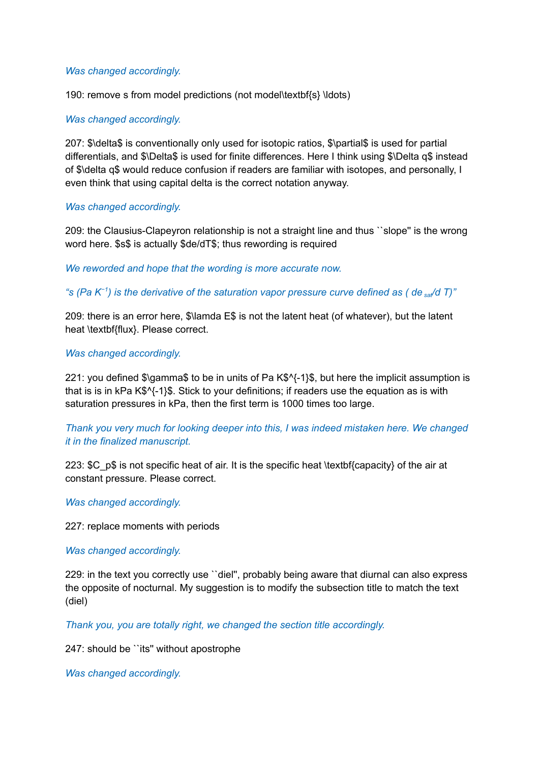## *Was changed accordingly.*

190: remove s from model predictions (not model\textbf{s} \ldots)

# *Was changed accordingly.*

207: \$\delta\$ is conventionally only used for isotopic ratios, \$\partial\$ is used for partial differentials, and \$\Delta\$ is used for finite differences. Here I think using \$\Delta q\$ instead of \$\delta q\$ would reduce confusion if readers are familiar with isotopes, and personally, I even think that using capital delta is the correct notation anyway.

## *Was changed accordingly.*

209: the Clausius-Clapeyron relationship is not a straight line and thus ``slope'' is the wrong word here. \$s\$ is actually \$de/dT\$; thus rewording is required

*We reworded and hope that the wording is more accurate now.*

"s (Pa K<sup>-1</sup>) is the derivative of the saturation vapor pressure curve defined as ( de  $_{\mathrm{sat}}$ /d T)"

209: there is an error here, \$\lamda E\$ is not the latent heat (of whatever), but the latent heat \textbf{flux}. Please correct.

## *Was changed accordingly.*

221: you defined \$\gamma\$ to be in units of Pa K\$^{-1}\$, but here the implicit assumption is that is is in kPa K\$^{-1}\$. Stick to your definitions; if readers use the equation as is with saturation pressures in kPa, then the first term is 1000 times too large.

*Thank you very much for looking deeper into this, I was indeed mistaken here. We changed it in the finalized manuscript.*

223:  $SC$  p\$ is not specific heat of air. It is the specific heat \textbf{capacity} of the air at constant pressure. Please correct.

*Was changed accordingly.*

227: replace moments with periods

*Was changed accordingly.*

229: in the text you correctly use ``diel'', probably being aware that diurnal can also express the opposite of nocturnal. My suggestion is to modify the subsection title to match the text (diel)

*Thank you, you are totally right, we changed the section title accordingly.*

247: should be ``its'' without apostrophe

*Was changed accordingly.*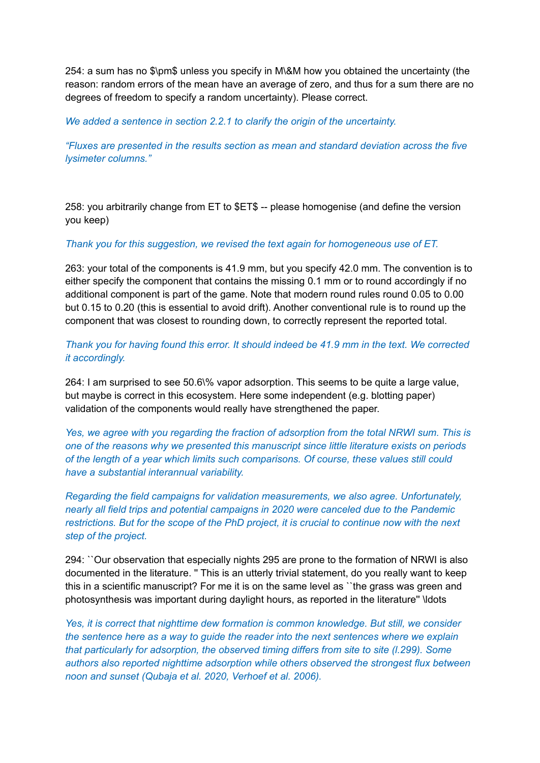254: a sum has no \$\pm\$ unless you specify in M\&M how you obtained the uncertainty (the reason: random errors of the mean have an average of zero, and thus for a sum there are no degrees of freedom to specify a random uncertainty). Please correct.

*We added a sentence in section 2.2.1 to clarify the origin of the uncertainty.*

*"Fluxes are presented in the results section as mean and standard deviation across the five lysimeter columns."*

258: you arbitrarily change from ET to \$ET\$ -- please homogenise (and define the version you keep)

## *Thank you for this suggestion, we revised the text again for homogeneous use of ET.*

263: your total of the components is 41.9 mm, but you specify 42.0 mm. The convention is to either specify the component that contains the missing 0.1 mm or to round accordingly if no additional component is part of the game. Note that modern round rules round 0.05 to 0.00 but 0.15 to 0.20 (this is essential to avoid drift). Another conventional rule is to round up the component that was closest to rounding down, to correctly represent the reported total.

*Thank you for having found this error. It should indeed be 41.9 mm in the text. We corrected it accordingly.*

264: I am surprised to see 50.6\% vapor adsorption. This seems to be quite a large value, but maybe is correct in this ecosystem. Here some independent (e.g. blotting paper) validation of the components would really have strengthened the paper.

*Yes, we agree with you regarding the fraction of adsorption from the total NRWI sum. This is one of the reasons why we presented this manuscript since little literature exists on periods of the length of a year which limits such comparisons. Of course, these values still could have a substantial interannual variability.*

*Regarding the field campaigns for validation measurements, we also agree. Unfortunately, nearly all field trips and potential campaigns in 2020 were canceled due to the Pandemic restrictions. But for the scope of the PhD project, it is crucial to continue now with the next step of the project.*

294: ``Our observation that especially nights 295 are prone to the formation of NRWI is also documented in the literature. '' This is an utterly trivial statement, do you really want to keep this in a scientific manuscript? For me it is on the same level as ``the grass was green and photosynthesis was important during daylight hours, as reported in the literature'' \ldots

*Yes, it is correct that nighttime dew formation is common knowledge. But still, we consider the sentence here as a way to guide the reader into the next sentences where we explain that particularly for adsorption, the observed timing differs from site to site (l.299). Some authors also reported nighttime adsorption while others observed the strongest flux between noon and sunset (Qubaja et al. 2020, Verhoef et al. 2006).*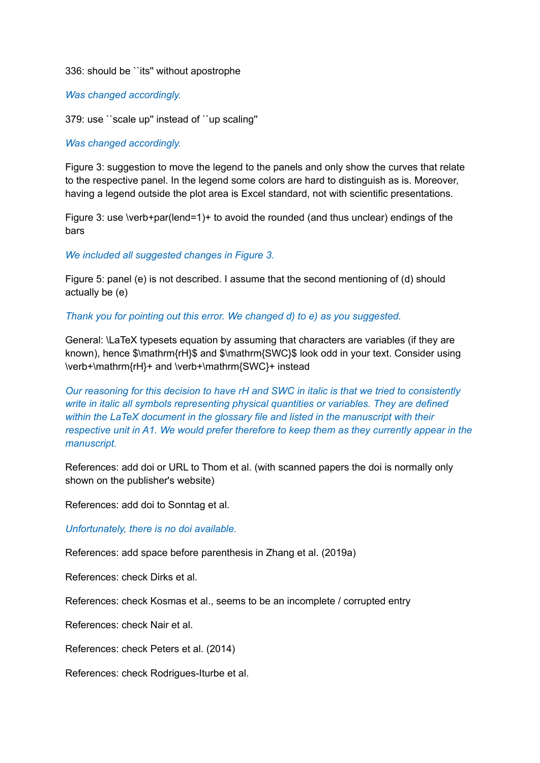### 336: should be ``its'' without apostrophe

### *Was changed accordingly.*

379: use ``scale up'' instead of ``up scaling''

### *Was changed accordingly.*

Figure 3: suggestion to move the legend to the panels and only show the curves that relate to the respective panel. In the legend some colors are hard to distinguish as is. Moreover, having a legend outside the plot area is Excel standard, not with scientific presentations.

Figure 3: use \verb+par(lend=1)+ to avoid the rounded (and thus unclear) endings of the bars

## *We included all suggested changes in Figure 3.*

Figure 5: panel (e) is not described. I assume that the second mentioning of (d) should actually be (e)

#### *Thank you for pointing out this error. We changed d) to e) as you suggested.*

General: \LaTeX typesets equation by assuming that characters are variables (if they are known), hence \$\mathrm{rH}\$ and \$\mathrm{SWC}\$ look odd in your text. Consider using \verb+\mathrm{rH}+ and \verb+\mathrm{SWC}+ instead

*Our reasoning for this decision to have rH and SWC in italic is that we tried to consistently write in italic all symbols representing physical quantities or variables. They are defined within the LaTeX document in the glossary file and listed in the manuscript with their respective unit in A1. We would prefer therefore to keep them as they currently appear in the manuscript.*

References: add doi or URL to Thom et al. (with scanned papers the doi is normally only shown on the publisher's website)

References: add doi to Sonntag et al.

*Unfortunately, there is no doi available.*

References: add space before parenthesis in Zhang et al. (2019a)

References: check Dirks et al.

References: check Kosmas et al., seems to be an incomplete / corrupted entry

References: check Nair et al.

References: check Peters et al. (2014)

References: check Rodrigues-Iturbe et al.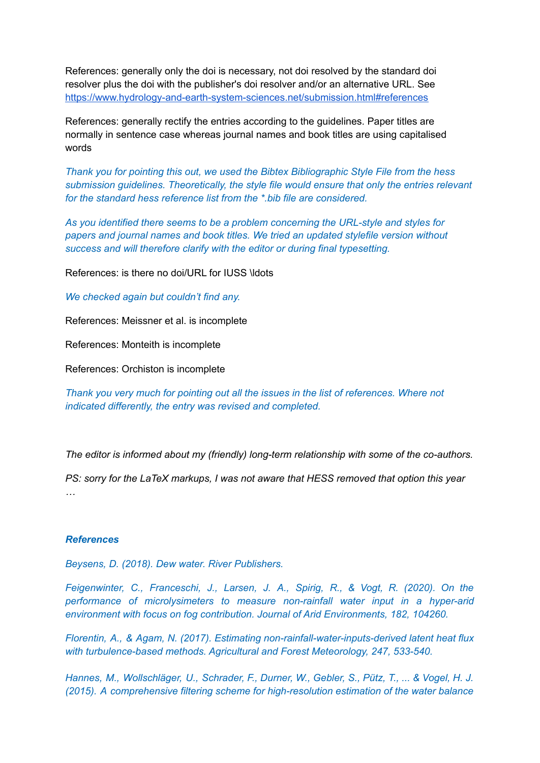References: generally only the doi is necessary, not doi resolved by the standard doi resolver plus the doi with the publisher's doi resolver and/or an alternative URL. See <https://www.hydrology-and-earth-system-sciences.net/submission.html#references>

References: generally rectify the entries according to the guidelines. Paper titles are normally in sentence case whereas journal names and book titles are using capitalised words

*Thank you for pointing this out, we used the Bibtex Bibliographic Style File from the hess submission guidelines. Theoretically, the style file would ensure that only the entries relevant for the standard hess reference list from the \*.bib file are considered.*

*As you identified there seems to be a problem concerning the URL-style and styles for papers and journal names and book titles. We tried an updated stylefile version without success and will therefore clarify with the editor or during final typesetting.*

References: is there no doi/URL for IUSS \ldots

*We checked again but couldn't find any.*

References: Meissner et al. is incomplete

References: Monteith is incomplete

References: Orchiston is incomplete

*Thank you very much for pointing out all the issues in the list of references. Where not indicated differently, the entry was revised and completed.*

*The editor is informed about my (friendly) long-term relationship with some of the co-authors.*

*PS: sorry for the LaTeX markups, I was not aware that HESS removed that option this year …*

#### *References*

*Beysens, D. (2018). Dew water. River Publishers.*

*Feigenwinter, C., Franceschi, J., Larsen, J. A., Spirig, R., & Vogt, R. (2020). On the performance of microlysimeters to measure non-rainfall water input in a hyper-arid environment with focus on fog contribution. Journal of Arid Environments, 182, 104260.*

*Florentin, A., & Agam, N. (2017). Estimating non-rainfall-water-inputs-derived latent heat flux with turbulence-based methods. Agricultural and Forest Meteorology, 247, 533-540.*

*Hannes, M., Wollschläger, U., Schrader, F., Durner, W., Gebler, S., Pütz, T., ... & Vogel, H. J. (2015). A comprehensive filtering scheme for high-resolution estimation of the water balance*